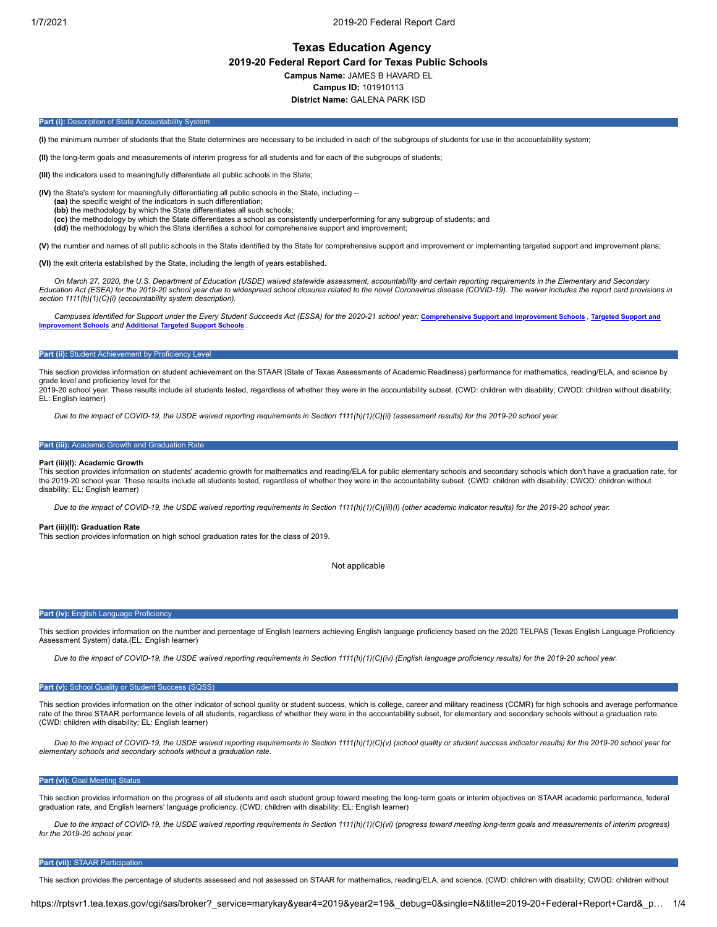1/7/2021 2019-20 Federal Report Card

# **Texas Education Agency**

**2019-20 Federal Report Card for Texas Public Schools**

**Campus Name:** JAMES B HAVARD EL

**Campus ID:** 101910113

**District Name:** GALENA PARK ISD

## **Part (i):** Description of State Accountability System

**(I)** the minimum number of students that the State determines are necessary to be included in each of the subgroups of students for use in the accountability system;

**(II)** the long-term goals and measurements of interim progress for all students and for each of the subgroups of students;

**(III)** the indicators used to meaningfully differentiate all public schools in the State;

**(IV)** the State's system for meaningfully differentiating all public schools in the State, including --

- **(aa)** the specific weight of the indicators in such differentiation;
- **(bb)** the methodology by which the State differentiates all such schools;
- **(cc)** the methodology by which the State differentiates a school as consistently underperforming for any subgroup of students; and **(dd)** the methodology by which the State identifies a school for comprehensive support and improvement;

**(V)** the number and names of all public schools in the State identified by the State for comprehensive support and improvement or implementing targeted support and improvement plans;

**(VI)** the exit criteria established by the State, including the length of years established.

*On March 27, 2020, the U.S. Department of Education (USDE) waived statewide assessment, accountability and certain reporting requirements in the Elementary and Secondary Education Act (ESEA) for the 2019-20 school year due to widespread school closures related to the novel Coronavirus disease (COVID-19). The waiver includes the report card provisions in section 1111(h)(1)(C)(i) (accountability system description).*

Campuses Identified for Support under the Every Student Succeeds Act (ESSA) for the 2020-21 school year: Comprehensive Support and Improvement Schools, Targeted Support and **Improvement Schools** *and* **Additional Targeted Support Schools** *.*

### **Part (ii):** Student Achievement by Proficiency Level

This section provides information on student achievement on the STAAR (State of Texas Assessments of Academic Readiness) performance for mathematics, reading/ELA, and science by grade level and proficiency level for the 2019-20 school year. These results include all students tested, regardless of whether they were in the accountability subset. (CWD: children with disability; CWOD: children without disability;

EL: English learner)

*Due to the impact of COVID-19, the USDE waived reporting requirements in Section 1111(h)(1)(C)(ii) (assessment results) for the 2019-20 school year.*

# **Part (iii):** Academic Growth and Graduation Rate

# **Part (iii)(I): Academic Growth**

This section provides information on students' academic growth for mathematics and reading/ELA for public elementary schools and secondary schools which don't have a graduation rate, for the 2019-20 school year. These results include all students tested, regardless of whether they were in the accountability subset. (CWD: children with disability; CWOD: children without disability; EL: English learner)

*Due to the impact of COVID-19, the USDE waived reporting requirements in Section 1111(h)(1)(C)(iii)(I) (other academic indicator results) for the 2019-20 school year.*

# **Part (iii)(II): Graduation Rate**

This section provides information on high school graduation rates for the class of 2019.

Not applicable

### **Part (iv): English Language Proficiency**

This section provides information on the number and percentage of English learners achieving English language proficiency based on the 2020 TELPAS (Texas English Language Proficiency Assessment System) data.(EL: English learner)

*Due to the impact of COVID-19, the USDE waived reporting requirements in Section 1111(h)(1)(C)(iv) (English language proficiency results) for the 2019-20 school year.*

### Part (v): School Quality or Student Success (SQSS)

This section provides information on the other indicator of school quality or student success, which is college, career and military readiness (CCMR) for high schools and average performance rate of the three STAAR performance levels of all students, regardless of whether they were in the accountability subset, for elementary and secondary schools without a graduation rate. (CWD: children with disability; EL: English learner)

*Due to the impact of COVID-19, the USDE waived reporting requirements in Section 1111(h)(1)(C)(v) (school quality or student success indicator results) for the 2019-20 school year for elementary schools and secondary schools without a graduation rate.*

# **Part (vi):** Goal Meeting Status

This section provides information on the progress of all students and each student group toward meeting the long-term goals or interim objectives on STAAR academic performance, federal graduation rate, and English learners' language proficiency. (CWD: children with disability; EL: English learner)

*Due to the impact of COVID-19, the USDE waived reporting requirements in Section 1111(h)(1)(C)(vi) (progress toward meeting long-term goals and measurements of interim progress) for the 2019-20 school year.*

# **Part (vii):** STAAR Participation

This section provides the percentage of students assessed and not assessed on STAAR for mathematics, reading/ELA, and science. (CWD: children with disability; CWOD: children without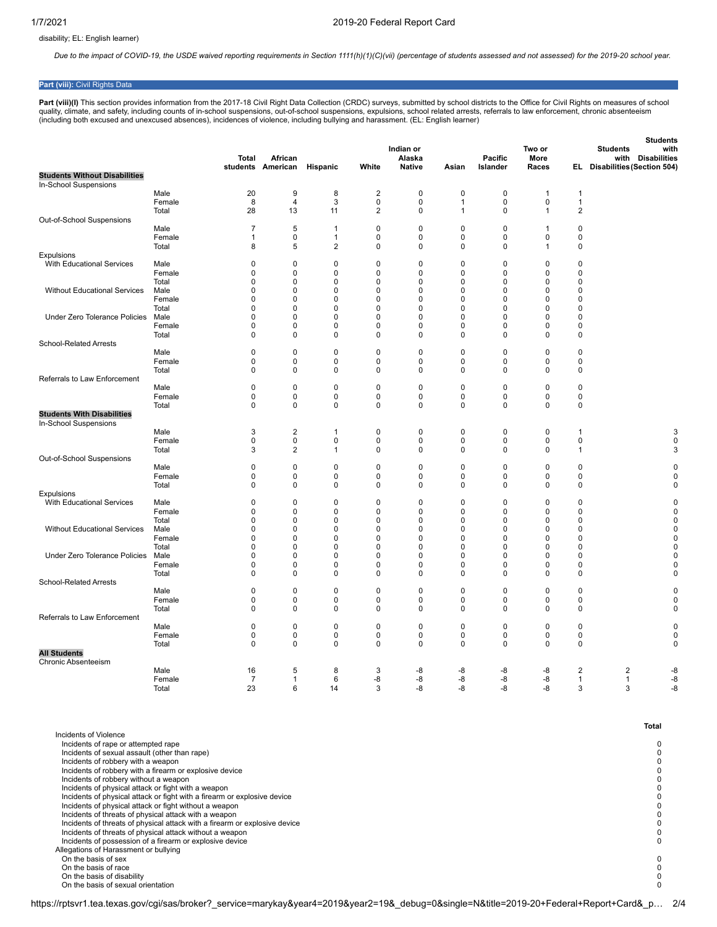disability; EL: English learner)

*Due to the impact of COVID-19, the USDE waived reporting requirements in Section 1111(h)(1)(C)(vii) (percentage of students assessed and not assessed) for the 2019-20 school year.*

# **Part (viii):** Civil Rights Data

Part (viii)(I) This section provides information from the 2017-18 Civil Right Data Collection (CRDC) surveys, submitted by school districts to the Office for Civil Rights on measures of school quality, climate, and safety, including counts of in-school suspensions, out-of-school suspensions, expulsions, school related arrests, referrals to law enforcement, chronic absenteeism<br>(including both excused and unexcuse

|                                                            |               | Total            | African                 |                            |                          | Indian or<br>Alaska |                  | Pacific          | Two or<br>More          |                          | <b>Students</b><br><b>Students</b><br>with<br><b>Disabilities</b><br>with |
|------------------------------------------------------------|---------------|------------------|-------------------------|----------------------------|--------------------------|---------------------|------------------|------------------|-------------------------|--------------------------|---------------------------------------------------------------------------|
| <b>Students Without Disabilities</b>                       |               |                  | students American       | Hispanic                   | White                    | <b>Native</b>       | Asian            | Islander         | Races                   |                          | EL Disabilities (Section 504)                                             |
| In-School Suspensions                                      |               |                  |                         |                            |                          |                     |                  |                  |                         |                          |                                                                           |
|                                                            | Male          | 20               | 9                       | 8                          | $\overline{2}$           | $\mathbf 0$         | $\mathbf 0$      | $\mathbf 0$      | $\mathbf{1}$            | $\mathbf{1}$             |                                                                           |
|                                                            | Female        | 8                | $\overline{4}$          | 3                          | $\pmb{0}$                | 0                   | 1                | $\mathbf 0$      | $\pmb{0}$               | $\mathbf{1}$             |                                                                           |
|                                                            | Total         | 28               | 13                      | 11                         | $\overline{2}$           | 0                   | $\mathbf{1}$     | 0                | $\overline{1}$          | $\overline{2}$           |                                                                           |
| Out-of-School Suspensions                                  |               |                  |                         |                            |                          |                     |                  |                  |                         |                          |                                                                           |
|                                                            | Male          | $\overline{7}$   | 5                       | -1                         | $\mathbf 0$              | 0                   | $\mathbf 0$      | 0                | 1                       | $\mathbf 0$              |                                                                           |
|                                                            | Female        | 1                | $\mathbf 0$             | $\mathbf{1}$               | $\mathbf 0$              | 0                   | $\mathbf 0$      | $\mathbf 0$      | 0                       | $\mathbf 0$              |                                                                           |
|                                                            | Total         | 8                | 5                       | $\overline{c}$             | $\pmb{0}$                | 0                   | 0                | 0                | 1                       | $\pmb{0}$                |                                                                           |
| Expulsions<br><b>With Educational Services</b>             | Male          | 0                | $\mathbf 0$             | $\mathbf 0$                | $\pmb{0}$                | 0                   | $\mathbf 0$      | $\mathbf 0$      | $\mathbf 0$             | 0                        |                                                                           |
|                                                            | Female        | 0                | 0                       | $\mathsf 0$                | $\pmb{0}$                | 0                   | 0                | $\mathbf 0$      | 0                       | $\pmb{0}$                |                                                                           |
|                                                            | Total         | 0                | $\mathbf 0$             | $\mathbf 0$                | $\pmb{0}$                | 0                   | $\mathbf 0$      | $\mathbf 0$      | $\Omega$                | $\pmb{0}$                |                                                                           |
| <b>Without Educational Services</b>                        | Male          | $\mathbf 0$      | $\mathbf 0$             | $\mathbf 0$                | $\pmb{0}$                | 0                   | $\mathbf 0$      | $\mathbf 0$      | $\mathbf 0$             | $\pmb{0}$                |                                                                           |
|                                                            | Female        | $\mathbf 0$      | $\mathbf 0$             | $\mathbf 0$                | $\mathbf 0$              | 0                   | $\mathbf 0$      | 0                | $\mathbf 0$             | $\mathbf 0$              |                                                                           |
|                                                            | Total         | $\mathbf 0$      | $\mathbf 0$             | $\mathbf 0$                | $\mathbf 0$              | 0                   | $\mathbf 0$      | $\mathbf 0$      | $\Omega$                | $\mathbf 0$              |                                                                           |
| Under Zero Tolerance Policies                              | Male          | $\mathbf 0$      | $\pmb{0}$               | $\mathbf 0$                | $\mathbf 0$              | 0                   | $\mathbf 0$      | 0                | $\mathbf 0$             | $\pmb{0}$                |                                                                           |
|                                                            | Female        | $\mathbf 0$      | $\mathbf 0$             | $\mathbf 0$                | $\mathbf 0$              | 0                   | $\mathbf 0$      | $\Omega$         | $\Omega$                | $\mathbf 0$              |                                                                           |
| School-Related Arrests                                     | Total         | 0                | 0                       | $\mathsf 0$                | $\pmb{0}$                | 0                   | 0                | 0                | $\Omega$                | $\pmb{0}$                |                                                                           |
|                                                            | Male          | 0                | 0                       | $\mathbf 0$                | $\pmb{0}$                | 0                   | $\mathbf 0$      | 0                | $\pmb{0}$               | $\pmb{0}$                |                                                                           |
|                                                            | Female        | 0                | 0                       | $\mathsf 0$                | $\pmb{0}$                | 0                   | 0                | 0                | $\pmb{0}$               | $\pmb{0}$                |                                                                           |
|                                                            | Total         | $\mathbf 0$      | $\mathbf 0$             | $\mathbf 0$                | $\mathbf 0$              | 0                   | $\mathbf 0$      | $\mathbf 0$      | $\mathbf 0$             | $\mathbf 0$              |                                                                           |
| Referrals to Law Enforcement                               |               |                  |                         |                            |                          |                     |                  |                  |                         |                          |                                                                           |
|                                                            | Male          | $\pmb{0}$        | $\mathbf 0$             | $\mathbf 0$                | $\pmb{0}$                | 0                   | $\pmb{0}$        | $\mathbf 0$      | $\mathbf 0$             | $\pmb{0}$                |                                                                           |
|                                                            | Female        | $\pmb{0}$        | 0                       | $\pmb{0}$                  | $\pmb{0}$                | 0                   | 0                | 0                | $\mathbf 0$             | $\pmb{0}$                |                                                                           |
|                                                            | Total         | 0                | 0                       | $\mathbf 0$                | $\pmb{0}$                | 0                   | 0                | 0                | $\mathbf 0$             | $\mathbf 0$              |                                                                           |
| <b>Students With Disabilities</b><br>In-School Suspensions |               |                  |                         |                            |                          |                     |                  |                  |                         |                          |                                                                           |
|                                                            | Male          | 3                | $\overline{\mathbf{c}}$ | $\mathbf{1}$               | $\pmb{0}$                | 0                   | 0                | 0                | $\mathbf 0$             | 1                        | 3                                                                         |
|                                                            | Female        | 0                | 0                       | $\pmb{0}$                  | $\pmb{0}$                | 0                   | 0                | 0                | $\mathbf 0$             | $\pmb{0}$                | $\mathbf 0$                                                               |
|                                                            | Total         | 3                | $\overline{2}$          | $\mathbf{1}$               | $\pmb{0}$                | 0                   | 0                | 0                | $\mathbf 0$             | $\mathbf{1}$             | 3                                                                         |
| Out-of-School Suspensions                                  | Male          | $\pmb{0}$        | $\mathbf 0$             | $\mathbf 0$                | $\pmb{0}$                | 0                   | $\pmb{0}$        | $\mathbf 0$      | $\mathbf 0$             | $\pmb{0}$                | $\mathbf 0$                                                               |
|                                                            | Female        | 0                | 0                       | $\mathsf 0$                | $\pmb{0}$                | 0                   | 0                | 0                | $\mathbf 0$             | $\pmb{0}$                | $\mathbf 0$                                                               |
|                                                            | Total         | $\mathbf 0$      | $\mathbf 0$             | $\mathbf 0$                | $\mathbf 0$              | 0                   | $\mathbf 0$      | $\mathbf 0$      | $\Omega$                | $\mathbf 0$              | $\mathbf 0$                                                               |
| Expulsions                                                 |               |                  |                         |                            |                          |                     |                  |                  |                         |                          |                                                                           |
| <b>With Educational Services</b>                           | Male          | $\mathbf 0$      | $\mathbf 0$             | $\mathbf 0$                | $\mathbf 0$              | 0                   | $\mathbf 0$      | $\mathbf 0$      | $\mathbf 0$             | $\pmb{0}$                | $\mathbf 0$                                                               |
|                                                            | Female        | $\mathbf 0$      | $\mathbf 0$             | $\mathbf 0$                | $\mathbf 0$              | 0                   | $\Omega$         | $\Omega$         | 0                       | $\mathbf 0$              | $\mathbf 0$                                                               |
|                                                            | Total         | 0                | 0                       | $\mathbf 0$                | $\pmb{0}$                | 0                   | 0                | 0                | 0                       | $\pmb{0}$                | $\mathbf 0$                                                               |
| <b>Without Educational Services</b>                        | Male          | $\mathbf 0$      | 0                       | $\mathbf 0$                | $\pmb{0}$                | 0                   | 0                | 0                | $\mathbf 0$             | $\mathbf 0$              | $\mathbf 0$                                                               |
|                                                            | Female        | $\pmb{0}$        | 0                       | $\mathbf 0$                | $\pmb{0}$                | 0                   | 0                | 0                | $\Omega$                | $\pmb{0}$                | $\mathbf 0$                                                               |
| Under Zero Tolerance Policies                              | Total<br>Male | 0<br>$\mathbf 0$ | 0<br>$\mathbf 0$        | $\mathbf 0$<br>$\mathbf 0$ | $\pmb{0}$<br>$\mathbf 0$ | 0<br>0              | 0<br>$\mathbf 0$ | $\mathbf 0$<br>0 | $\Omega$<br>$\mathbf 0$ | $\pmb{0}$<br>$\mathbf 0$ | $\mathbf 0$<br>$\mathbf 0$                                                |
|                                                            | Female        | $\mathbf 0$      | $\mathbf 0$             | $\mathbf 0$                | $\pmb{0}$                | $\mathbf 0$         | $\mathbf 0$      | 0                | $\mathbf 0$             | $\mathbf 0$              | $\mathbf 0$                                                               |
|                                                            | Total         | $\mathbf 0$      | $\mathbf 0$             | $\mathbf 0$                | $\mathbf 0$              | 0                   | $\mathbf 0$      | $\mathbf 0$      | $\mathbf 0$             | $\mathbf 0$              | $\mathbf 0$                                                               |
| <b>School-Related Arrests</b>                              |               |                  |                         |                            |                          |                     |                  |                  |                         |                          |                                                                           |
|                                                            | Male          | 0                | 0                       | $\mathbf 0$                | $\pmb{0}$                | 0                   | $\mathbf 0$      | 0                | 0                       | $\pmb{0}$                | 0                                                                         |
|                                                            | Female        | 0                | $\Omega$                | $\mathbf 0$                | 0                        | 0                   | $\Omega$         | $\Omega$         | $\Omega$                | $\mathbf 0$              | 0                                                                         |
|                                                            | Total         | $\mathbf 0$      | $\mathbf 0$             | $\mathbf 0$                | $\mathbf 0$              | $\mathbf 0$         | $\mathbf 0$      | 0                | $\Omega$                | $\mathbf 0$              | $\mathbf 0$                                                               |
| Referrals to Law Enforcement                               |               |                  |                         |                            |                          |                     |                  |                  |                         |                          |                                                                           |
|                                                            | Male          | $\pmb{0}$        | 0                       | $\mathbf 0$                | $\pmb{0}$                | 0                   | $\mathbf 0$      | 0                | $\pmb{0}$               | $\pmb{0}$                | 0                                                                         |
|                                                            | Female        | 0                | 0                       | $\pmb{0}$                  | $\pmb{0}$                | 0                   | 0                | 0                | 0                       | $\pmb{0}$                | 0                                                                         |
| <b>All Students</b>                                        | Total         | $\mathbf 0$      | $\mathbf 0$             | $\mathbf 0$                | $\mathbf 0$              | $\mathbf 0$         | $\mathbf 0$      | 0                | $\mathbf 0$             | $\mathbf 0$              | 0                                                                         |
| Chronic Absenteeism                                        |               |                  |                         |                            |                          |                     |                  |                  |                         |                          |                                                                           |
|                                                            | Male          | 16               | 5                       | 8                          | 3                        | -8                  | -8               | -8               | -8                      | $\overline{2}$           | $\overline{2}$<br>-8                                                      |
|                                                            | Female        | $\overline{7}$   | $\mathbf{1}$            | 6                          | -8                       | -8                  | -8               | -8               | -8                      | $\mathbf{1}$             | -8<br>$\mathbf{1}$                                                        |
|                                                            | Total         | 23               | 6                       | 14                         | 3                        | -8                  | -8               | -8               | -8                      | 3                        | 3<br>-8                                                                   |

| Incidents of Violence                                                                                                                    |     |
|------------------------------------------------------------------------------------------------------------------------------------------|-----|
| Incidents of rape or attempted rape                                                                                                      |     |
| Incidents of sexual assault (other than rape)                                                                                            |     |
| Incidents of robbery with a weapon                                                                                                       |     |
| Incidents of robbery with a firearm or explosive device                                                                                  |     |
| Incidents of robbery without a weapon                                                                                                    |     |
| Incidents of physical attack or fight with a weapon                                                                                      |     |
| Incidents of physical attack or fight with a firearm or explosive device                                                                 |     |
| Incidents of physical attack or fight without a weapon                                                                                   |     |
| Incidents of threats of physical attack with a weapon                                                                                    |     |
| Incidents of threats of physical attack with a firearm or explosive device                                                               |     |
| Incidents of threats of physical attack without a weapon                                                                                 |     |
| Incidents of possession of a firearm or explosive device                                                                                 |     |
| Allegations of Harassment or bullying                                                                                                    |     |
| On the basis of sex                                                                                                                      |     |
| On the basis of race                                                                                                                     |     |
| On the basis of disability                                                                                                               |     |
| On the basis of sexual orientation                                                                                                       |     |
| https://rptsvr1.tea.texas.gov/cgi/sas/broker? service=marykay&year4=2019&year2=19& debug=0&single=N&title=2019-20+Federal+Report+Card& p | 2/4 |

**Total**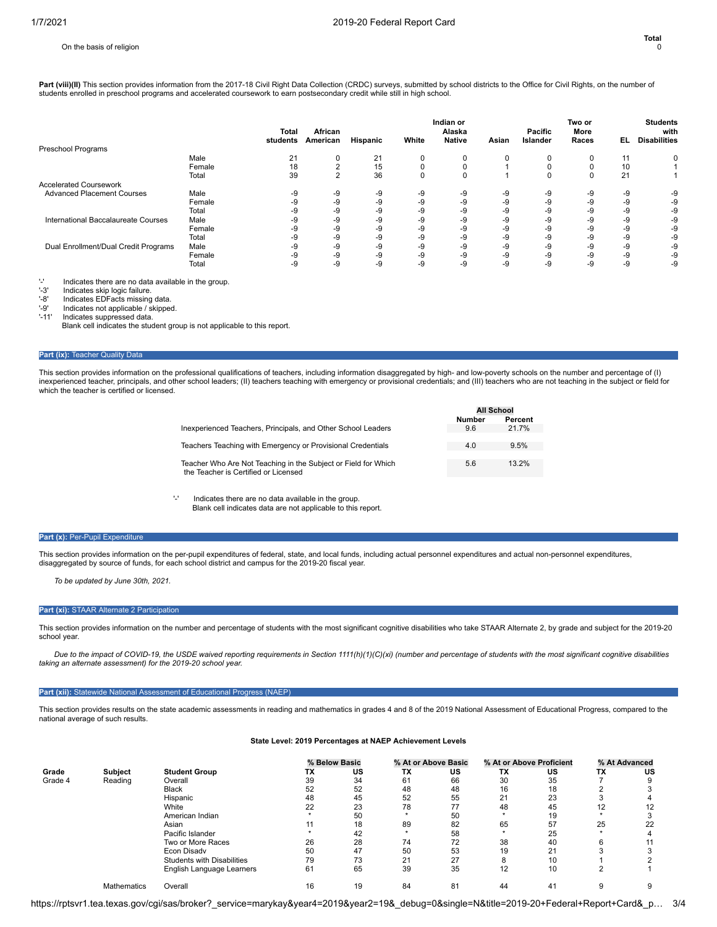Part (viii)(II) This section provides information from the 2017-18 Civil Right Data Collection (CRDC) surveys, submitted by school districts to the Office for Civil Rights, on the number of students enrolled in preschool programs and accelerated coursework to earn postsecondary credit while still in high school.

|                                      |        | Total<br>students | African<br>American | Hispanic | White    | Indian or<br>Alaska<br><b>Native</b> | Asian | Pacific<br><b>Islander</b> | Two or<br>More<br>Races | EL. | <b>Students</b><br>with<br><b>Disabilities</b> |
|--------------------------------------|--------|-------------------|---------------------|----------|----------|--------------------------------------|-------|----------------------------|-------------------------|-----|------------------------------------------------|
| Preschool Programs                   |        |                   |                     |          |          |                                      |       |                            |                         |     |                                                |
|                                      | Male   | 21                | 0                   | 21       | 0        | $\Omega$                             | 0     | ŋ                          | 0                       | 11  |                                                |
|                                      | Female | 18                | $\sim$              | 15       | $\Omega$ |                                      |       |                            |                         | 10  |                                                |
|                                      | Total  | 39                | $\sim$              | 36       | $\Omega$ |                                      |       | 0                          | $\Omega$                | 21  |                                                |
| <b>Accelerated Coursework</b>        |        |                   |                     |          |          |                                      |       |                            |                         |     |                                                |
| <b>Advanced Placement Courses</b>    | Male   | -9                | $-9$                | -9       | -9       | -9                                   | -9    | -9                         | -9                      | -9  | -9                                             |
|                                      | Female | -9                | $-9$                | -9       | -9       | -9                                   | -9    | -9                         | -9                      | -9  | -9                                             |
|                                      | Total  | -9                | $-9$                | -9       | -9       | -9                                   | -9    | -9                         | -9                      | -9  | -9                                             |
| International Baccalaureate Courses  | Male   | -9                | $-9$                | -9       | -9       | -9                                   | -9    | -9                         | -9                      | -9  | -9                                             |
|                                      | Female | -9                | $-9$                | -9       | -9       | -9                                   | -9    | -9                         | -9                      | -9  | -9                                             |
|                                      | Total  | -9                | $-9$                | -9       | -9       | -9                                   | -9    | -9                         | $-9$                    | -9  | -9                                             |
| Dual Enrollment/Dual Credit Programs | Male   | -9                | $-9$                | -9       | -9       | -9                                   | -9    | -9                         | $-9$                    | -9  | -9                                             |
|                                      | Female | -9                | $-9$                | -9       | -9       | -9                                   | -9    | -9                         | $-9$                    | -9  | -9                                             |
|                                      | Total  | -9                | -9                  | -9       | -9       | $-9$                                 | -9    | -9                         | $-9$                    | -9  | -9                                             |

'-' Indicates there are no data available in the group.

'-3' Indicates skip logic failure.<br>'-8' Indicates EDFacts missing

'-8' Indicates EDFacts missing data<br>'-9' Indicates not applicable / skippe

'-9' Indicates not applicable / skipped.<br>'-11' Indicates suppressed data

Indicates suppressed data. Blank cell indicates the student group is not applicable to this report.

### **Part (ix): Teacher Quality Data**

This section provides information on the professional qualifications of teachers, including information disaggregated by high- and low-poverty schools on the number and percentage of (I) inexperienced teacher, principals, and other school leaders; (II) teachers teaching with emergency or provisional credentials; and (III) teachers who are not teaching in the subject or field for which the teacher is certified or licensed.

|                                                                                                        | <b>All School</b>    |                  |
|--------------------------------------------------------------------------------------------------------|----------------------|------------------|
| Inexperienced Teachers, Principals, and Other School Leaders                                           | <b>Number</b><br>9.6 | Percent<br>21 7% |
| Teachers Teaching with Emergency or Provisional Credentials                                            | 4.0                  | 9.5%             |
|                                                                                                        |                      |                  |
| Teacher Who Are Not Teaching in the Subject or Field for Which<br>the Teacher is Certified or Licensed | 5.6                  | 13 2%            |
|                                                                                                        |                      |                  |

'-' Indicates there are no data available in the group.

Blank cell indicates data are not applicable to this report.

# Part (x): Per-Pupil Expenditure

This section provides information on the per-pupil expenditures of federal, state, and local funds, including actual personnel expenditures and actual non-personnel expenditures, disaggregated by source of funds, for each school district and campus for the 2019-20 fiscal year.

*To be updated by June 30th, 2021.*

# **Part (xi):** STAAR Alternate 2 Participation

This section provides information on the number and percentage of students with the most significant cognitive disabilities who take STAAR Alternate 2, by grade and subject for the 2019-20 school year.

*Due to the impact of COVID-19, the USDE waived reporting requirements in Section 1111(h)(1)(C)(xi) (number and percentage of students with the most significant cognitive disabilities taking an alternate assessment) for the 2019-20 school year.*

# Part (xii): Statewide National Assessment of Educational Progress (NAEP)

This section provides results on the state academic assessments in reading and mathematics in grades 4 and 8 of the 2019 National Assessment of Educational Progress, compared to the national average of such results.

# **State Level: 2019 Percentages at NAEP Achievement Levels**

|         |                |                            |    | % Below Basic |    | % At or Above Basic |    | % At or Above Proficient |    | % At Advanced |
|---------|----------------|----------------------------|----|---------------|----|---------------------|----|--------------------------|----|---------------|
| Grade   | <b>Subject</b> | <b>Student Group</b>       | ТX | US            | ТX | US                  | TX | US                       | ТX | US            |
| Grade 4 | Reading        | Overall                    | 39 | 34            | 61 | 66                  | 30 | 35                       |    |               |
|         |                | <b>Black</b>               | 52 | 52            | 48 | 48                  | 16 | 18                       |    |               |
|         |                | Hispanic                   | 48 | 45            | 52 | 55                  | 21 | 23                       |    |               |
|         |                | White                      | 22 | 23            | 78 | 77                  | 48 | 45                       | 12 | 12            |
|         |                | American Indian            |    | 50            |    | 50                  |    | 19                       |    |               |
|         |                | Asian                      |    | 18            | 89 | 82                  | 65 | 57                       | 25 | 22            |
|         |                | Pacific Islander           |    | 42            |    | 58                  |    | 25                       |    |               |
|         |                | Two or More Races          | 26 | 28            | 74 | 72                  | 38 | 40                       | 6  |               |
|         |                | Econ Disadv                | 50 | 47            | 50 | 53                  | 19 | 21                       |    |               |
|         |                | Students with Disabilities | 79 | 73            | 21 | 27                  | 8  | 10                       |    |               |
|         |                | English Language Learners  | 61 | 65            | 39 | 35                  | 12 | 10                       | 2  |               |
|         | Mathematics    | Overall                    | 16 | 19            | 84 | 81                  | 44 | 41                       |    |               |